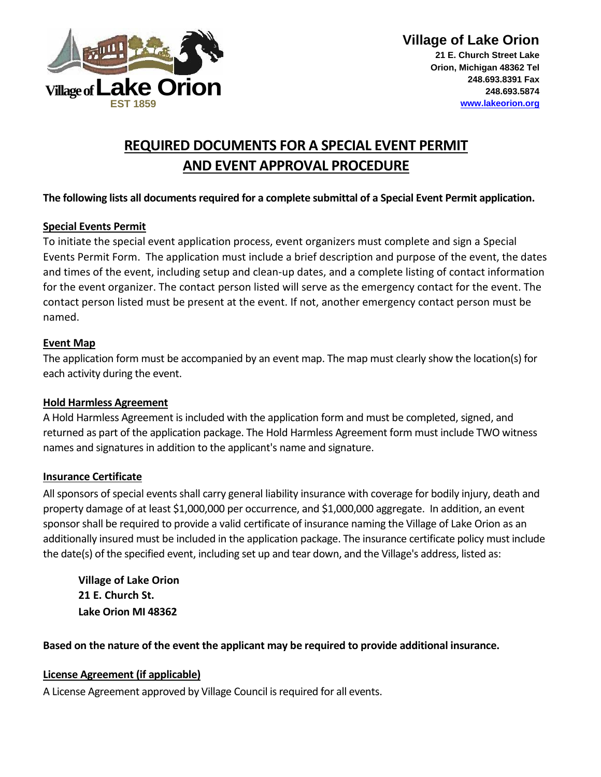

# **REQUIRED DOCUMENTS FOR A SPECIAL EVENT PERMIT AND EVENT APPROVAL PROCEDURE**

#### **The following lists all documents required for a complete submittal of a Special Event Permit application.**

#### **Special Events Permit**

To initiate the special event application process, event organizers must complete and sign a Special Events Permit Form. The application must include a brief description and purpose of the event, the dates and times of the event, including setup and clean-up dates, and a complete listing of contact information for the event organizer. The contact person listed will serve as the emergency contact for the event. The contact person listed must be present at the event. If not, another emergency contact person must be named.

#### **Event Map**

The application form must be accompanied by an event map. The map must clearly show the location(s) for each activity during the event.

#### **Hold Harmless Agreement**

A Hold Harmless Agreement is included with the application form and must be completed, signed, and returned as part of the application package. The Hold Harmless Agreement form must include TWO witness names and signatures in addition to the applicant's name and signature.

## **Insurance Certificate**

All sponsors of special events shall carry general liability insurance with coverage for bodily injury, death and property damage of at least \$1,000,000 per occurrence, and \$1,000,000 aggregate. In addition, an event sponsor shall be required to provide a valid certificate of insurance naming the Village of Lake Orion as an additionally insured must be included in the application package. The insurance certificate policy must include the date(s) of the specified event, including set up and tear down, and the Village's address, listed as:

**Village of Lake Orion 21 E. Church St. Lake Orion MI 48362**

**Based on the nature of the event the applicant may be required to provide additional insurance.** 

## **License Agreement (if applicable)**

A License Agreement approved by Village Council is required for all events.